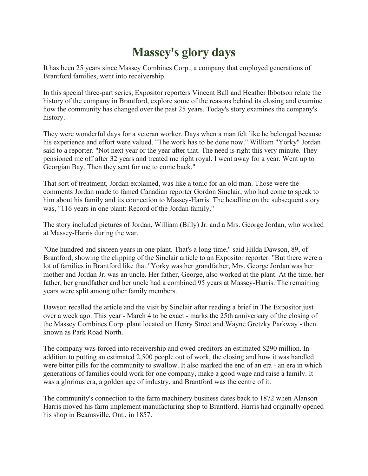## **Massey's glory days**

It has been 25 years since Massey Combines Corp., a company that employed generations of Brantford families, went into receivership.

In this special three-part series, Expositor reporters Vincent Ball and Heather Ibbotson relate the history of the company in Brantford, explore some of the reasons behind its closing and examine how the community has changed over the past 25 years. Today's story examines the company's history.

They were wonderful days for a veteran worker. Days when a man felt like he belonged because his experience and effort were valued. "The work has to be done now." William "Yorky" Jordan said to a reporter. "Not next year or the year after that. The need is right this very minute. They pensioned me off after 32 years and treated me right royal. I went away for a year. Went up to Georgian Bay. Then they sent for me to come back."

That sort of treatment, Jordan explained, was like a tonic for an old man. Those were the comments Jordan made to famed Canadian reporter Gordon Sinclair, who had come to speak to him about his family and its connection to Massey-Harris. The headline on the subsequent story was, "116 years in one plant: Record of the Jordan family."

The story included pictures of Jordan, William (Billy) Jr. and a Mrs. George Jordan, who worked at Massey-Harris during the war.

"One hundred and sixteen years in one plant. That's a long time," said Hilda Dawson, 89, of Brantford, showing the clipping of the Sinclair article to an Expositor reporter. "But there were a lot of families in Brantford like that."Yorky was her grandfather, Mrs. George Jordan was her mother and Jordan Jr. was an uncle. Her father, George, also worked at the plant. At the time, her father, her grandfather and her uncle had a combined 95 years at Massey-Harris. The remaining years were split among other family members.

Dawson recalled the article and the visit by Sinclair after reading a brief in The Expositor just over a week ago. This year - March 4 to be exact - marks the 25th anniversary of the closing of the Massey Combines Corp. plant located on Henry Street and Wayne Gretzky Parkway - then known as Park Road North.

The company was forced into receivership and owed creditors an estimated \$290 million. In addition to putting an estimated 2,500 people out of work, the closing and how it was handled were bitter pills for the community to swallow. It also marked the end of an era - an era in which generations of families could work for one company, make a good wage and raise a family. It was a glorious era, a golden age of industry, and Brantford was the centre of it.

The community's connection to the farm machinery business dates back to 1872 when Alanson Harris moved his farm implement manufacturing shop to Brantford. Harris had originally opened his shop in Beamsville, Ont., in 1857.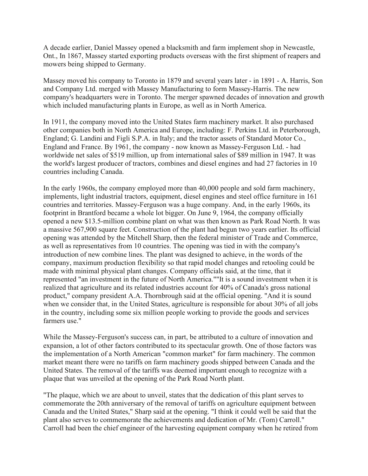A decade earlier, Daniel Massey opened a blacksmith and farm implement shop in Newcastle, Ont., In 1867, Massey started exporting products overseas with the first shipment of reapers and mowers being shipped to Germany.

Massey moved his company to Toronto in 1879 and several years later - in 1891 - A. Harris, Son and Company Ltd. merged with Massey Manufacturing to form Massey-Harris. The new company's headquarters were in Toronto. The merger spawned decades of innovation and growth which included manufacturing plants in Europe, as well as in North America.

In 1911, the company moved into the United States farm machinery market. It also purchased other companies both in North America and Europe, including: F. Perkins Ltd. in Peterborough, England; G. Landini and Figli S.P.A. in Italy; and the tractor assets of Standard Motor Co., England and France. By 1961, the company - now known as Massey-Ferguson Ltd. - had worldwide net sales of \$519 million, up from international sales of \$89 million in 1947. It was the world's largest producer of tractors, combines and diesel engines and had 27 factories in 10 countries including Canada.

In the early 1960s, the company employed more than 40,000 people and sold farm machinery, implements, light industrial tractors, equipment, diesel engines and steel office furniture in 161 countries and territories. Massey-Ferguson was a huge company. And, in the early 1960s, its footprint in Brantford became a whole lot bigger. On June 9, 1964, the company officially opened a new \$13.5-million combine plant on what was then known as Park Road North. It was a massive 567,900 square feet. Construction of the plant had begun two years earlier. Its official opening was attended by the Mitchell Sharp, then the federal minister of Trade and Commerce, as well as representatives from 10 countries. The opening was tied in with the company's introduction of new combine lines. The plant was designed to achieve, in the words of the company, maximum production flexibility so that rapid model changes and retooling could be made with minimal physical plant changes. Company officials said, at the time, that it represented "an investment in the future of North America.""It is a sound investment when it is realized that agriculture and its related industries account for 40% of Canada's gross national product," company president A.A. Thornbrough said at the official opening. "And it is sound when we consider that, in the United States, agriculture is responsible for about 30% of all jobs in the country, including some six million people working to provide the goods and services farmers use."

While the Massey-Ferguson's success can, in part, be attributed to a culture of innovation and expansion, a lot of other factors contributed to its spectacular growth. One of those factors was the implementation of a North American "common market" for farm machinery. The common market meant there were no tariffs on farm machinery goods shipped between Canada and the United States. The removal of the tariffs was deemed important enough to recognize with a plaque that was unveiled at the opening of the Park Road North plant.

"The plaque, which we are about to unveil, states that the dedication of this plant serves to commemorate the 20th anniversary of the removal of tariffs on agriculture equipment between Canada and the United States," Sharp said at the opening. "I think it could well be said that the plant also serves to commemorate the achievements and dedication of Mr. (Tom) Carroll." Carroll had been the chief engineer of the harvesting equipment company when he retired from